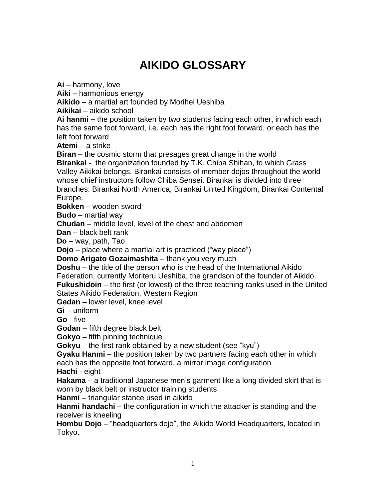## **AIKIDO GLOSSARY**

**Ai** – harmony, love

**Aiki** – harmonious energy

**Aikido** – a martial art founded by Morihei Ueshiba

**Aikikai** – aikido school

**Ai hanmi –** the position taken by two students facing each other, in which each has the same foot forward, i.e. each has the right foot forward, or each has the left foot forward

**Atemi** – a strike

**Biran** – the cosmic storm that presages great change in the world

**Birankai** - the organization founded by T.K. Chiba Shihan, to which Grass Valley Aikikai belongs. Birankai consists of member dojos throughout the world whose chief instructors follow Chiba Sensei. Birankai is divided into three branches: Birankai North America, Birankai United Kingdom, Birankai Contental Europe.

**Bokken** – wooden sword

**Budo** – martial way

**Chudan** – middle level, level of the chest and abdomen

**Dan** – black belt rank

**Do** – way, path, Tao

**Dojo** – place where a martial art is practiced ("way place")

**Domo Arigato Gozaimashita** – thank you very much

**Doshu** – the title of the person who is the head of the International Aikido Federation, currently Moriteru Ueshiba, the grandson of the founder of Aikido. **Fukushidoin** – the first (or lowest) of the three teaching ranks used in the United States Aikido Federation, Western Region

**Gedan** – lower level, knee level

**Gi** – uniform

**Go** - five

**Godan** – fifth degree black belt

**Gokyo** – fifth pinning technique

**Gokyu** – the first rank obtained by a new student (see "kyu")

**Gyaku Hanmi** – the position taken by two partners facing each other in which each has the opposite foot forward, a mirror image configuration

**Hachi** - eight

**Hakama** – a traditional Japanese men's garment like a long divided skirt that is worn by black belt or instructor training students

**Hanmi** – triangular stance used in aikido

**Hanmi handachi** – the configuration in which the attacker is standing and the receiver is kneeling

**Hombu Dojo** – "headquarters dojo", the Aikido World Headquarters, located in Tokyo.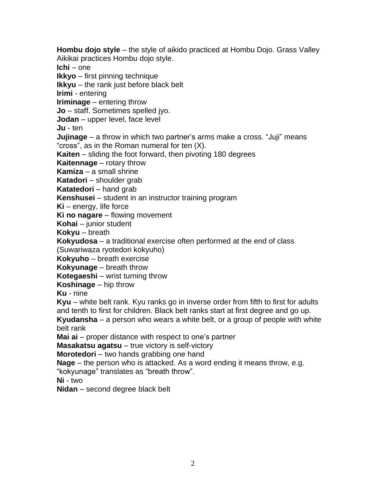**Hombu dojo style** – the style of aikido practiced at Hombu Dojo. Grass Valley Aikikai practices Hombu dojo style. **Ichi** – one **Ikkyo** – first pinning technique **Ikkyu** – the rank just before black belt **Irimi** - entering **Iriminage** – entering throw **Jo** – staff. Sometimes spelled jyo. **Jodan** – upper level, face level **Ju** - ten **Jujinage** – a throw in which two partner's arms make a cross. "Juji" means "cross", as in the Roman numeral for ten (X). **Kaiten** – sliding the foot forward, then pivoting 180 degrees **Kaitennage** – rotary throw **Kamiza** – a small shrine **Katadori** – shoulder grab **Katatedori** – hand grab **Kenshusei** – student in an instructor training program **Ki** – energy, life force **Ki no nagare** – flowing movement **Kohai** – junior student **Kokyu** – breath **Kokyudosa** – a traditional exercise often performed at the end of class (Suwariwaza ryotedori kokyuho) **Kokyuho** – breath exercise **Kokyunage** – breath throw **Kotegaeshi** – wrist turning throw **Koshinage** – hip throw **Ku** - nine **Kyu** – white belt rank. Kyu ranks go in inverse order from fifth to first for adults and tenth to first for children. Black belt ranks start at first degree and go up. **Kyudansha** – a person who wears a white belt, or a group of people with white belt rank **Mai ai** – proper distance with respect to one's partner **Masakatsu agatsu** – true victory is self-victory **Morotedori** – two hands grabbing one hand **Nage** – the person who is attacked. As a word ending it means throw, e.g. "kokyunage" translates as "breath throw". **Ni** - two

**Nidan** – second degree black belt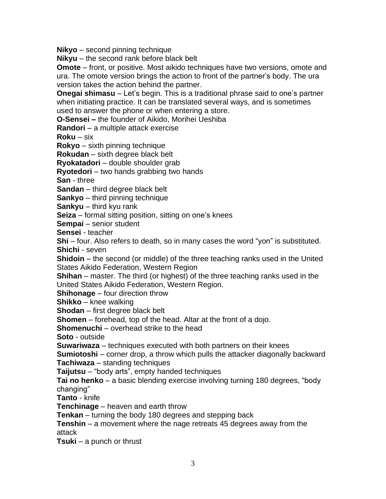**Nikyo** – second pinning technique

**Nikyu** – the second rank before black belt

**Omote** – front, or positive. Most aikido techniques have two versions, omote and ura. The omote version brings the action to front of the partner's body. The ura version takes the action behind the partner.

**Onegai shimasu** – Let's begin. This is a traditional phrase said to one's partner when initiating practice. It can be translated several ways, and is sometimes used to answer the phone or when entering a store.

**O-Sensei –** the founder of Aikido, Morihei Ueshiba

**Randori** – a multiple attack exercise

**Roku** – six

**Rokyo** – sixth pinning technique

**Rokudan** – sixth degree black belt

**Ryokatadori** – double shoulder grab

**Ryotedori** – two hands grabbing two hands

**San** - three

**Sandan** – third degree black belt

**Sankyo** – third pinning technique

**Sankyu** – third kyu rank

**Seiza** – formal sitting position, sitting on one's knees

**Sempai** – senior student

**Sensei** - teacher

**Shi** – four. Also refers to death, so in many cases the word "yon" is substituted.

**Shichi** - seven

**Shidoin** – the second (or middle) of the three teaching ranks used in the United States Aikido Federation, Western Region

**Shihan** – master. The third (or highest) of the three teaching ranks used in the United States Aikido Federation, Western Region.

**Shihonage** – four direction throw

**Shikko** – knee walking

**Shodan** – first degree black belt

**Shomen** – forehead, top of the head. Altar at the front of a dojo.

**Shomenuchi** – overhead strike to the head

**Soto** - outside

**Suwariwaza** – techniques executed with both partners on their knees

**Sumiotoshi** – corner drop, a throw which pulls the attacker diagonally backward **Tachiwaza** – standing techniques

**Taijutsu** – "body arts", empty handed techniques

**Tai no henko** – a basic blending exercise involving turning 180 degrees, "body changing"

**Tanto** - knife

**Tenchinage** – heaven and earth throw

**Tenkan** – turning the body 180 degrees and stepping back

**Tenshin** – a movement where the nage retreats 45 degrees away from the attack

**Tsuki** – a punch or thrust